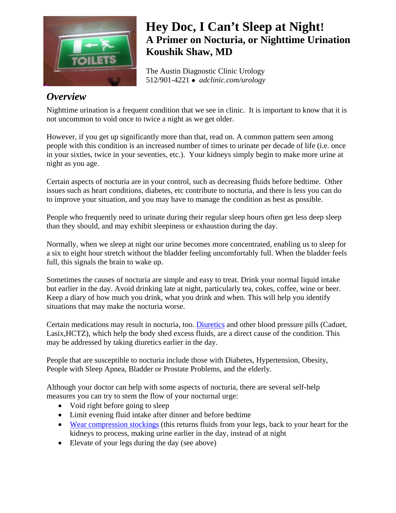

# **Hey Doc, I Can't Sleep at Night! A Primer on Nocturia, or Nighttime Urination Koushik Shaw, MD**

The Austin Diagnostic Clinic Urology 512/901-4221 <sup>z</sup> *adclinic.com/urology*

## *Overview*

Nighttime urination is a frequent condition that we see in clinic. It is important to know that it is not uncommon to void once to twice a night as we get older.

However, if you get up significantly more than that, read on. A common pattern seen among people with this condition is an increased number of times to urinate per decade of life (i.e. once in your sixties, twice in your seventies, etc.). Your kidneys simply begin to make more urine at night as you age.

Certain aspects of nocturia are in your control, such as decreasing fluids before bedtime. Other issues such as heart conditions, diabetes, etc contribute to nocturia, and there is less you can do to improve your situation, and you may have to manage the condition as best as possible.

People who frequently need to urinate during their regular sleep hours often get less deep sleep than they should, and may exhibit sleepiness or exhaustion during the day.

Normally, when we sleep at night our urine becomes more concentrated, enabling us to sleep for a six to eight hour stretch without the bladder feeling uncomfortably full. When the bladder feels full, this signals the brain to wake up.

Sometimes the causes of nocturia are simple and easy to treat. Drink your normal liquid intake but earlier in the day. Avoid drinking late at night, particularly tea, cokes, coffee, wine or beer. Keep a diary of how much you drink, what you drink and when. This will help you identify situations that may make the nocturia worse.

Certain medications may result in nocturia, too. [Diuretics](http://www.wisegeek.com/what-are-diuretics.htm) and other blood pressure pills (Caduet, Lasix,HCTZ), which help the body shed excess fluids, are a direct cause of the condition. This may be addressed by taking diuretics earlier in the day.

People that are susceptible to nocturia include those with Diabetes, Hypertension, Obesity, People with Sleep Apnea, Bladder or Prostate Problems, and the elderly.

Although your doctor can help with some aspects of nocturia, there are several self-help measures you can try to stem the flow of your nocturnal urge:

- Void right before going to sleep
- Limit evening fluid intake after dinner and before bedtime
- [Wear compression stockings](http://www.amazon.com/gp/search?ie=UTF8&keywords=compression%20stockings&tag=heallifegeek-20&index=hpc&linkCode=ur2&camp=1789&creative=9325) (this returns fluids from your legs, back to your heart for the kidneys to process, making urine earlier in the day, instead of at night
- Elevate of your legs during the day (see above)